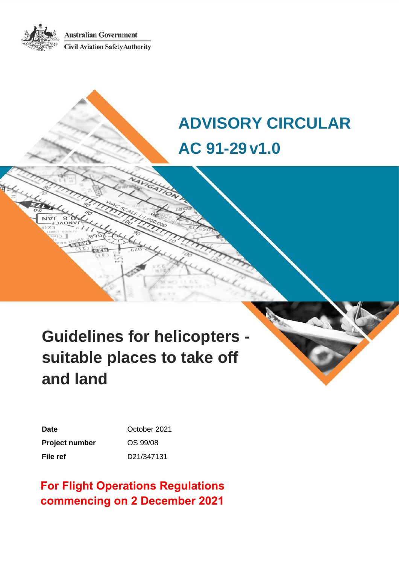**Australian Government Civil Aviation Safety Authority** 

# **ADVISORY CIRCULAR AC 91-29v1.0**

# **Guidelines for helicopters suitable places to take off and land**

| Date                  | October 2021 |
|-----------------------|--------------|
| <b>Project number</b> | OS 99/08     |
| File ref              | D21/347131   |

# **For Flight Operations Regulations commencing on 2 December 2021**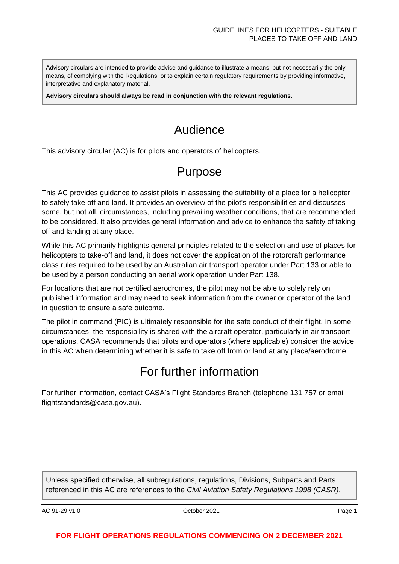Advisory circulars are intended to provide advice and guidance to illustrate a means, but not necessarily the only means, of complying with the Regulations, or to explain certain regulatory requirements by providing informative, interpretative and explanatory material.

**Advisory circulars should always be read in conjunction with the relevant regulations.**

# Audience

This advisory circular (AC) is for pilots and operators of helicopters.

# Purpose

This AC provides guidance to assist pilots in assessing the suitability of a place for a helicopter to safely take off and land. It provides an overview of the pilot's responsibilities and discusses some, but not all, circumstances, including prevailing weather conditions, that are recommended to be considered. It also provides general information and advice to enhance the safety of taking off and landing at any place.

While this AC primarily highlights general principles related to the selection and use of places for helicopters to take-off and land, it does not cover the application of the rotorcraft performance class rules required to be used by an Australian air transport operator under Part 133 or able to be used by a person conducting an aerial work operation under Part 138.

For locations that are not certified aerodromes, the pilot may not be able to solely rely on published information and may need to seek information from the owner or operator of the land in question to ensure a safe outcome.

The pilot in command (PIC) is ultimately responsible for the safe conduct of their flight. In some circumstances, the responsibility is shared with the aircraft operator, particularly in air transport operations. CASA recommends that pilots and operators (where applicable) consider the advice in this AC when determining whether it is safe to take off from or land at any place/aerodrome.

# For further information

For further information, contact CASA's Flight Standards Branch (telephone 131 757 or email flightstandards@casa.gov.au).

Unless specified otherwise, all subregulations, regulations, Divisions, Subparts and Parts referenced in this AC are references to the *Civil Aviation Safety Regulations 1998 (CASR)*.

AC 91-29 v1.0 **Page 1 Details 10** October 2021 **Page 1 Page 1**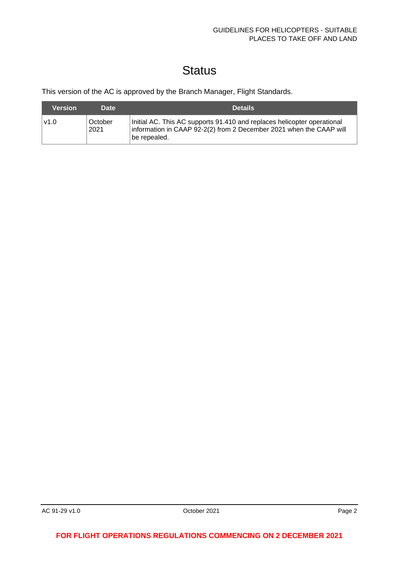# **Status**

This version of the AC is approved by the Branch Manager, Flight Standards.

| <b>Version</b> | <b>Date</b>     | <b>Details</b>                                                                                                                                                 |
|----------------|-----------------|----------------------------------------------------------------------------------------------------------------------------------------------------------------|
| l v1.0         | October<br>2021 | Initial AC. This AC supports 91.410 and replaces helicopter operational<br>information in CAAP 92-2(2) from 2 December 2021 when the CAAP will<br>be repealed. |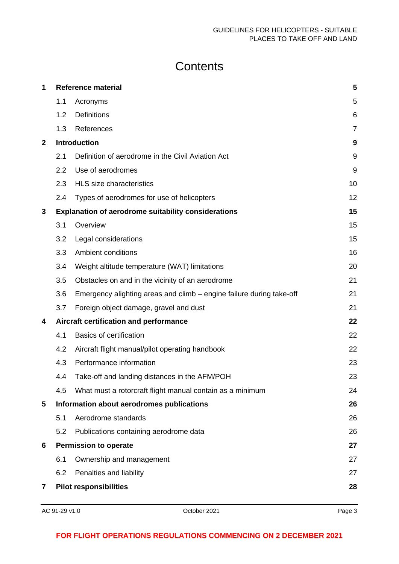# **Contents**

| 1            | <b>Reference material</b> |                                                                      |                |
|--------------|---------------------------|----------------------------------------------------------------------|----------------|
|              | 1.1                       | Acronyms                                                             | 5              |
|              | 1.2                       | <b>Definitions</b>                                                   | 6              |
|              | 1.3                       | References                                                           | $\overline{7}$ |
| $\mathbf{2}$ |                           | Introduction                                                         | 9              |
|              | 2.1                       | Definition of aerodrome in the Civil Aviation Act                    | 9              |
|              | 2.2                       | Use of aerodromes                                                    | 9              |
|              | 2.3                       | <b>HLS</b> size characteristics                                      | 10             |
|              | 2.4                       | Types of aerodromes for use of helicopters                           | 12             |
| 3            |                           | <b>Explanation of aerodrome suitability considerations</b>           | 15             |
|              | 3.1                       | Overview                                                             | 15             |
|              | 3.2                       | Legal considerations                                                 | 15             |
|              | 3.3                       | Ambient conditions                                                   | 16             |
|              | 3.4                       | Weight altitude temperature (WAT) limitations                        | 20             |
|              | 3.5                       | Obstacles on and in the vicinity of an aerodrome                     | 21             |
|              | 3.6                       | Emergency alighting areas and climb – engine failure during take-off | 21             |
|              | 3.7                       | Foreign object damage, gravel and dust                               | 21             |
| 4            |                           | Aircraft certification and performance                               | 22             |
|              | 4.1                       | <b>Basics of certification</b>                                       | 22             |
|              | 4.2                       | Aircraft flight manual/pilot operating handbook                      | 22             |
|              | 4.3                       | Performance information                                              | 23             |
|              | 4.4                       | Take-off and landing distances in the AFM/POH                        | 23             |
|              | 4.5                       | What must a rotorcraft flight manual contain as a minimum            | 24             |
| 5            |                           | Information about aerodromes publications                            | 26             |
|              | 5.1                       | Aerodrome standards                                                  | 26             |
|              | 5.2                       | Publications containing aerodrome data                               | 26             |
| 6            |                           | <b>Permission to operate</b>                                         | 27             |
|              | 6.1                       | Ownership and management                                             | 27             |
|              | 6.2                       | Penalties and liability                                              | 27             |
| 7            |                           | <b>Pilot responsibilities</b>                                        | 28             |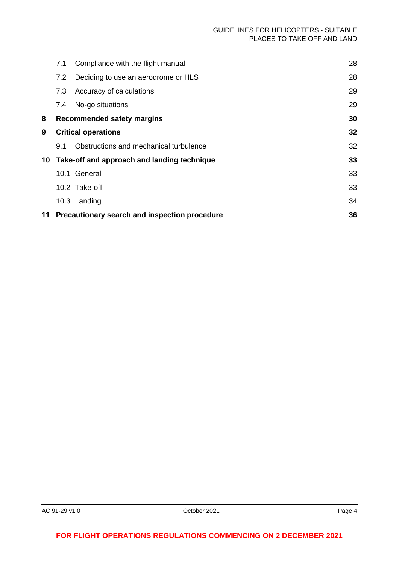|    | 7.1 | Compliance with the flight manual              | 28 |
|----|-----|------------------------------------------------|----|
|    | 7.2 | Deciding to use an aerodrome or HLS            | 28 |
|    | 7.3 | Accuracy of calculations                       | 29 |
|    | 7.4 | No-go situations                               | 29 |
| 8  |     | <b>Recommended safety margins</b>              | 30 |
| 9  |     | <b>Critical operations</b>                     | 32 |
|    | 9.1 | Obstructions and mechanical turbulence         | 32 |
|    |     | 10 Take-off and approach and landing technique | 33 |
|    |     | 10.1 General                                   | 33 |
|    |     | 10.2 Take-off                                  | 33 |
|    |     | 10.3 Landing                                   | 34 |
| 11 |     | Precautionary search and inspection procedure  | 36 |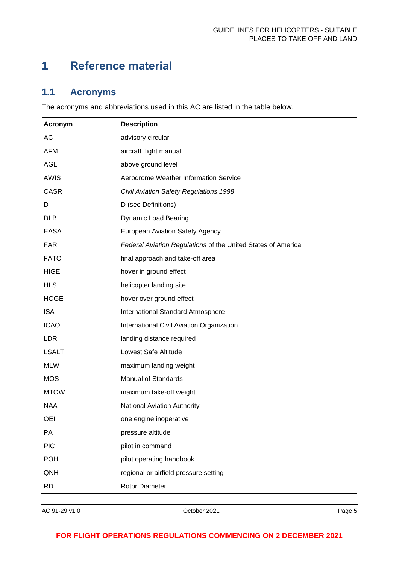# <span id="page-5-0"></span>**1 Reference material**

# <span id="page-5-1"></span>**1.1 Acronyms**

The acronyms and abbreviations used in this AC are listed in the table below.

| <b>Acronym</b> | <b>Description</b>                                           |
|----------------|--------------------------------------------------------------|
| AC             | advisory circular                                            |
| <b>AFM</b>     | aircraft flight manual                                       |
| <b>AGL</b>     | above ground level                                           |
| <b>AWIS</b>    | Aerodrome Weather Information Service                        |
| <b>CASR</b>    | Civil Aviation Safety Regulations 1998                       |
| D              | D (see Definitions)                                          |
| <b>DLB</b>     | <b>Dynamic Load Bearing</b>                                  |
| <b>EASA</b>    | <b>European Aviation Safety Agency</b>                       |
| <b>FAR</b>     | Federal Aviation Regulations of the United States of America |
| <b>FATO</b>    | final approach and take-off area                             |
| <b>HIGE</b>    | hover in ground effect                                       |
| <b>HLS</b>     | helicopter landing site                                      |
| <b>HOGE</b>    | hover over ground effect                                     |
| <b>ISA</b>     | International Standard Atmosphere                            |
| <b>ICAO</b>    | International Civil Aviation Organization                    |
| <b>LDR</b>     | landing distance required                                    |
| <b>LSALT</b>   | Lowest Safe Altitude                                         |
| <b>MLW</b>     | maximum landing weight                                       |
| <b>MOS</b>     | <b>Manual of Standards</b>                                   |
| <b>MTOW</b>    | maximum take-off weight                                      |
| <b>NAA</b>     | <b>National Aviation Authority</b>                           |
| <b>OEI</b>     | one engine inoperative                                       |
| PA             | pressure altitude                                            |
| <b>PIC</b>     | pilot in command                                             |
| <b>POH</b>     | pilot operating handbook                                     |
| QNH            | regional or airfield pressure setting                        |
| <b>RD</b>      | Rotor Diameter                                               |

AC 91-29 v1.0 **Detection Contract COVIDE 2021 Page 5**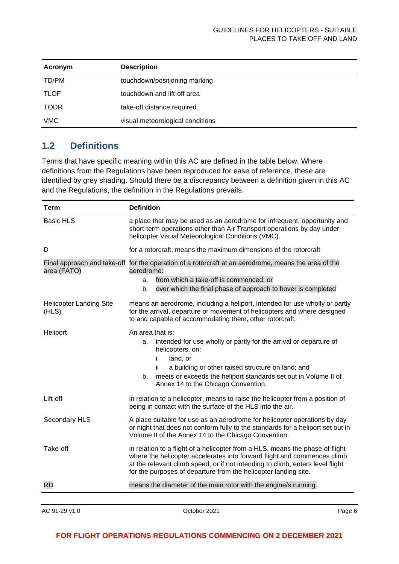| Acronym     | <b>Description</b>               |
|-------------|----------------------------------|
| TD/PM       | touchdown/positioning marking    |
| <b>TLOF</b> | touchdown and lift-off area      |
| <b>TODR</b> | take-off distance required       |
| VMC         | visual meteorological conditions |

# <span id="page-6-0"></span>**1.2 Definitions**

Terms that have specific meaning within this AC are defined in the table below. Where definitions from the Regulations have been reproduced for ease of reference, these are identified by grey shading. Should there be a discrepancy between a definition given in this AC and the Regulations, the definition in the Regulations prevails.

| <b>Term</b>                             | <b>Definition</b>                                                                                                                                                                                                                                                                                              |  |
|-----------------------------------------|----------------------------------------------------------------------------------------------------------------------------------------------------------------------------------------------------------------------------------------------------------------------------------------------------------------|--|
| <b>Basic HLS</b>                        | a place that may be used as an aerodrome for infrequent, opportunity and<br>short-term operations other than Air Transport operations by day under<br>helicopter Visual Meteorological Conditions (VMC).                                                                                                       |  |
| D                                       | for a rotorcraft, means the maximum dimensions of the rotorcraft                                                                                                                                                                                                                                               |  |
| area (FATO)                             | Final approach and take-off for the operation of a rotorcraft at an aerodrome, means the area of the<br>aerodrome:<br>from which a take-off is commenced; or<br>a.<br>over which the final phase of approach to hover is completed<br>b.                                                                       |  |
| <b>Helicopter Landing Site</b><br>(HLS) | means an aerodrome, including a heliport, intended for use wholly or partly<br>for the arrival, departure or movement of helicopters and where designed<br>to and capable of accommodating them, other rotorcraft.                                                                                             |  |
| Heliport                                | An area that is:<br>intended for use wholly or partly for the arrival or departure of<br>a.<br>helicopters, on:<br>land, or<br>i.<br>ii.<br>a building or other raised structure on land; and<br>meets or exceeds the heliport standards set out in Volume II of<br>b.<br>Annex 14 to the Chicago Convention.  |  |
| Lift-off                                | in relation to a helicopter, means to raise the helicopter from a position of<br>being in contact with the surface of the HLS into the air.                                                                                                                                                                    |  |
| Secondary HLS                           | A place suitable for use as an aerodrome for helicopter operations by day<br>or night that does not conform fully to the standards for a heliport set out in<br>Volume II of the Annex 14 to the Chicago Convention.                                                                                           |  |
| Take-off                                | in relation to a flight of a helicopter from a HLS, means the phase of flight<br>where the helicopter accelerates into forward flight and commences climb<br>at the relevant climb speed, or if not intending to climb, enters level flight<br>for the purposes of departure from the helicopter landing site. |  |
| <b>RD</b>                               | means the diameter of the main rotor with the engine/s running.                                                                                                                                                                                                                                                |  |
|                                         |                                                                                                                                                                                                                                                                                                                |  |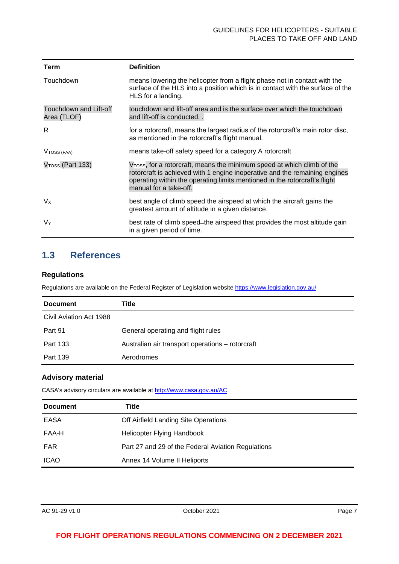#### GUIDELINES FOR HELICOPTERS - SUITABLE PLACES TO TAKE OFF AND LAND

| <b>Term</b>                           | <b>Definition</b>                                                                                                                                                                                                                                                         |
|---------------------------------------|---------------------------------------------------------------------------------------------------------------------------------------------------------------------------------------------------------------------------------------------------------------------------|
| Touchdown                             | means lowering the helicopter from a flight phase not in contact with the<br>surface of the HLS into a position which is in contact with the surface of the<br>HLS for a landing.                                                                                         |
| Touchdown and Lift-off<br>Area (TLOF) | touchdown and lift-off area and is the surface over which the touchdown<br>and lift-off is conducted                                                                                                                                                                      |
| R.                                    | for a rotorcraft, means the largest radius of the rotorcraft's main rotor disc,<br>as mentioned in the rotorcraft's flight manual.                                                                                                                                        |
| V <sub>TOSS</sub> (FAA)               | means take-off safety speed for a category A rotorcraft                                                                                                                                                                                                                   |
| V <sub>TOSS</sub> (Part 133)          | V <sub>TOSS</sub> , for a rotorcraft, means the minimum speed at which climb of the<br>rotorcraft is achieved with 1 engine inoperative and the remaining engines<br>operating within the operating limits mentioned in the rotorcraft's flight<br>manual for a take-off. |
| $V_{X}$                               | best angle of climb speed the airspeed at which the aircraft gains the<br>greatest amount of altitude in a given distance.                                                                                                                                                |
| VY                                    | best rate of climb speed–the airspeed that provides the most altitude gain<br>in a given period of time.                                                                                                                                                                  |

# <span id="page-7-0"></span>**1.3 References**

#### **Regulations**

Regulations are available on the Federal Register of Legislation website<https://www.legislation.gov.au/>

| <b>Document</b>         | Title                                            |
|-------------------------|--------------------------------------------------|
| Civil Aviation Act 1988 |                                                  |
| Part 91                 | General operating and flight rules               |
| Part 133                | Australian air transport operations - rotorcraft |
| Part 139                | Aerodromes                                       |

#### **Advisory material**

CASA's advisory circulars are available at [http://www.casa.gov.au/AC](http://www.casa.gov.au/ACs)

| <b>Document</b> | Title                                              |
|-----------------|----------------------------------------------------|
| <b>EASA</b>     | Off Airfield Landing Site Operations               |
| FAA-H           | Helicopter Flying Handbook                         |
| <b>FAR</b>      | Part 27 and 29 of the Federal Aviation Regulations |
| <b>ICAO</b>     | Annex 14 Volume II Heliports                       |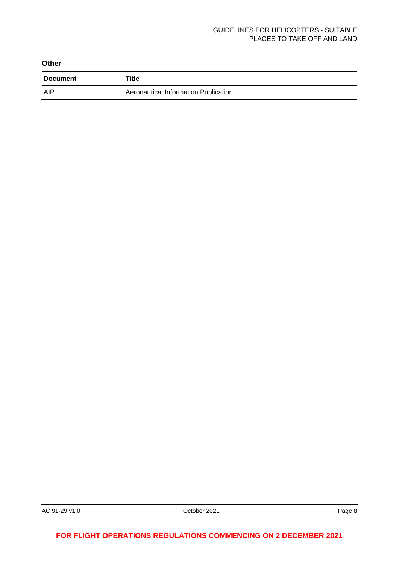#### GUIDELINES FOR HELICOPTERS - SUITABLE PLACES TO TAKE OFF AND LAND

| <b>Other</b>    |                                      |
|-----------------|--------------------------------------|
| <b>Document</b> | Title                                |
| AIP             | Aeronautical Information Publication |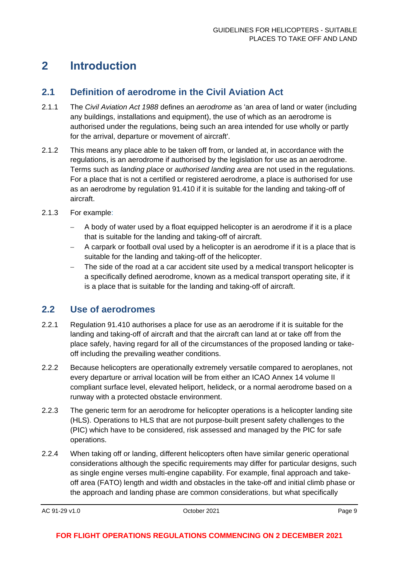# <span id="page-9-0"></span>**2 Introduction**

## <span id="page-9-1"></span>**2.1 Definition of aerodrome in the Civil Aviation Act**

- 2.1.1 The *Civil Aviation Act 1988* defines an *aerodrome* as 'an area of land or water (including any buildings, installations and equipment), the use of which as an aerodrome is authorised under the regulations, being such an area intended for use wholly or partly for the arrival, departure or movement of aircraft'.
- 2.1.2 This means any place able to be taken off from, or landed at, in accordance with the regulations, is an aerodrome if authorised by the legislation for use as an aerodrome. Terms such as *landing place* or *authorised landing area* are not used in the regulations. For a place that is not a certified or registered aerodrome, a place is authorised for use as an aerodrome by regulation 91.410 if it is suitable for the landing and taking-off of aircraft.
- 2.1.3 For example:
	- − A body of water used by a float equipped helicopter is an aerodrome if it is a place that is suitable for the landing and taking-off of aircraft.
	- − A carpark or football oval used by a helicopter is an aerodrome if it is a place that is suitable for the landing and taking-off of the helicopter.
	- The side of the road at a car accident site used by a medical transport helicopter is a specifically defined aerodrome, known as a medical transport operating site, if it is a place that is suitable for the landing and taking-off of aircraft.

### <span id="page-9-2"></span>**2.2 Use of aerodromes**

- 2.2.1 Regulation 91.410 authorises a place for use as an aerodrome if it is suitable for the landing and taking-off of aircraft and that the aircraft can land at or take off from the place safely, having regard for all of the circumstances of the proposed landing or takeoff including the prevailing weather conditions.
- 2.2.2 Because helicopters are operationally extremely versatile compared to aeroplanes, not every departure or arrival location will be from either an ICAO Annex 14 volume II compliant surface level, elevated heliport, helideck, or a normal aerodrome based on a runway with a protected obstacle environment.
- 2.2.3 The generic term for an aerodrome for helicopter operations is a helicopter landing site (HLS). Operations to HLS that are not purpose-built present safety challenges to the (PIC) which have to be considered, risk assessed and managed by the PIC for safe operations.
- 2.2.4 When taking off or landing, different helicopters often have similar generic operational considerations although the specific requirements may differ for particular designs, such as single engine verses multi-engine capability. For example, final approach and takeoff area (FATO) length and width and obstacles in the take-off and initial climb phase or the approach and landing phase are common considerations, but what specifically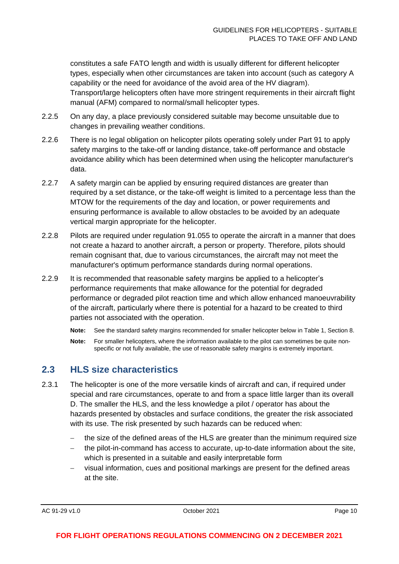constitutes a safe FATO length and width is usually different for different helicopter types, especially when other circumstances are taken into account (such as category A capability or the need for avoidance of the avoid area of the HV diagram). Transport/large helicopters often have more stringent requirements in their aircraft flight manual (AFM) compared to normal/small helicopter types.

- 2.2.5 On any day, a place previously considered suitable may become unsuitable due to changes in prevailing weather conditions.
- 2.2.6 There is no legal obligation on helicopter pilots operating solely under Part 91 to apply safety margins to the take-off or landing distance, take-off performance and obstacle avoidance ability which has been determined when using the helicopter manufacturer's data.
- 2.2.7 A safety margin can be applied by ensuring required distances are greater than required by a set distance, or the take-off weight is limited to a percentage less than the MTOW for the requirements of the day and location, or power requirements and ensuring performance is available to allow obstacles to be avoided by an adequate vertical margin appropriate for the helicopter.
- 2.2.8 Pilots are required under regulation 91.055 to operate the aircraft in a manner that does not create a hazard to another aircraft, a person or property. Therefore, pilots should remain cognisant that, due to various circumstances, the aircraft may not meet the manufacturer's optimum performance standards during normal operations.
- 2.2.9 It is recommended that reasonable safety margins be applied to a helicopter's performance requirements that make allowance for the potential for degraded performance or degraded pilot reaction time and which allow enhanced manoeuvrability of the aircraft, particularly where there is potential for a hazard to be created to third parties not associated with the operation.
	- **Note:** See the standard safety margins recommended for smaller helicopter below in Table 1, Section 8.
	- **Note:** For smaller helicopters, where the information available to the pilot can sometimes be quite nonspecific or not fully available, the use of reasonable safety margins is extremely important.

### <span id="page-10-0"></span>**2.3 HLS size characteristics**

- 2.3.1 The helicopter is one of the more versatile kinds of aircraft and can, if required under special and rare circumstances, operate to and from a space little larger than its overall D. The smaller the HLS, and the less knowledge a pilot / operator has about the hazards presented by obstacles and surface conditions, the greater the risk associated with its use. The risk presented by such hazards can be reduced when:
	- the size of the defined areas of the HLS are greater than the minimum required size
	- − the pilot-in-command has access to accurate, up-to-date information about the site, which is presented in a suitable and easily interpretable form
	- − visual information, cues and positional markings are present for the defined areas at the site.

AC 91-29 v1.0 **Details a COMPUTE 2021 Page 10 Page 10 Page 10**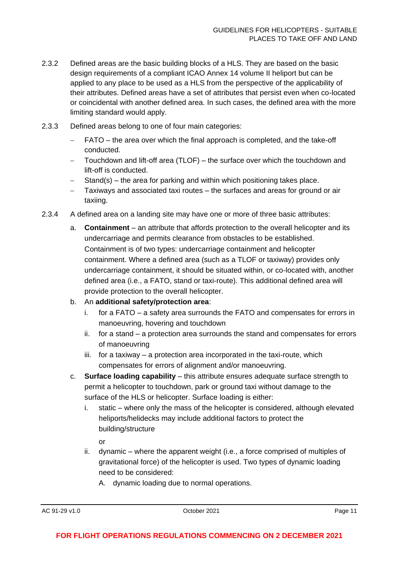- 2.3.2 Defined areas are the basic building blocks of a HLS. They are based on the basic design requirements of a compliant ICAO Annex 14 volume II heliport but can be applied to any place to be used as a HLS from the perspective of the applicability of their attributes. Defined areas have a set of attributes that persist even when co-located or coincidental with another defined area. In such cases, the defined area with the more limiting standard would apply.
- 2.3.3 Defined areas belong to one of four main categories:
	- − FATO the area over which the final approach is completed, and the take-off conducted.
	- − Touchdown and lift-off area (TLOF) the surface over which the touchdown and lift-off is conducted.
	- Stand(s) the area for parking and within which positioning takes place.
	- Taxiways and associated taxi routes the surfaces and areas for ground or air taxiing.
- 2.3.4 A defined area on a landing site may have one or more of three basic attributes:
	- a. **Containment** an attribute that affords protection to the overall helicopter and its undercarriage and permits clearance from obstacles to be established. Containment is of two types: undercarriage containment and helicopter containment. Where a defined area (such as a TLOF or taxiway) provides only undercarriage containment, it should be situated within, or co-located with, another defined area (i.e., a FATO, stand or taxi-route). This additional defined area will provide protection to the overall helicopter.
	- b. An **additional safety/protection area**:
		- i. for a FATO a safety area surrounds the FATO and compensates for errors in manoeuvring, hovering and touchdown
		- ii. for a stand a protection area surrounds the stand and compensates for errors of manoeuvring
		- iii. for a taxiway a protection area incorporated in the taxi-route, which compensates for errors of alignment and/or manoeuvring.
	- c. **Surface loading capability** this attribute ensures adequate surface strength to permit a helicopter to touchdown, park or ground taxi without damage to the surface of the HLS or helicopter. Surface loading is either:
		- i. static where only the mass of the helicopter is considered, although elevated heliports/helidecks may include additional factors to protect the building/structure

or

- ii. dynamic where the apparent weight (i.e., a force comprised of multiples of gravitational force) of the helicopter is used. Two types of dynamic loading need to be considered:
	- A. dynamic loading due to normal operations.

AC 91-29 v1.0 **Details a COMPUTE 2021 Page 11 Page 11 Page 11**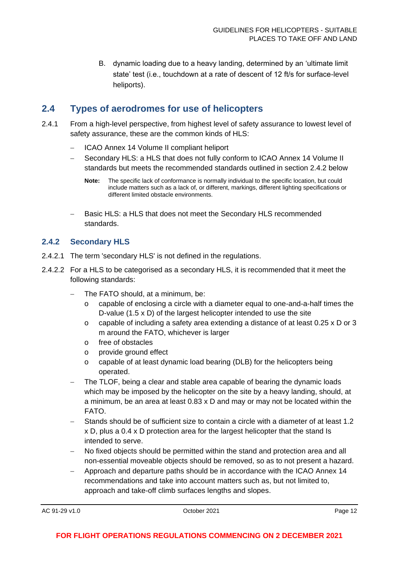B. dynamic loading due to a heavy landing, determined by an 'ultimate limit state' test (i.e., touchdown at a rate of descent of 12 ft/s for surface-level heliports).

# <span id="page-12-0"></span>**2.4 Types of aerodromes for use of helicopters**

- 2.4.1 From a high-level perspective, from highest level of safety assurance to lowest level of safety assurance, these are the common kinds of HLS:
	- − ICAO Annex 14 Volume II compliant heliport
	- Secondary HLS: a HLS that does not fully conform to ICAO Annex 14 Volume II standards but meets the recommended standards outlined in section 2.4.2 below
		- **Note:** The specific lack of conformance is normally individual to the specific location, but could include matters such as a lack of, or different, markings, different lighting specifications or different limited obstacle environments.
	- Basic HLS: a HLS that does not meet the Secondary HLS recommended standards.

### **2.4.2 Secondary HLS**

- 2.4.2.1 The term 'secondary HLS' is not defined in the regulations.
- 2.4.2.2 For a HLS to be categorised as a secondary HLS, it is recommended that it meet the following standards:
	- − The FATO should, at a minimum, be:
		- o capable of enclosing a circle with a diameter equal to one-and-a-half times the D-value (1.5 x D) of the largest helicopter intended to use the site
		- o capable of including a safety area extending a distance of at least 0.25 x D or 3 m around the FATO, whichever is larger
		- o free of obstacles
		- o provide ground effect
		- o capable of at least dynamic load bearing (DLB) for the helicopters being operated.
	- The TLOF, being a clear and stable area capable of bearing the dynamic loads which may be imposed by the helicopter on the site by a heavy landing, should, at a minimum, be an area at least 0.83 x D and may or may not be located within the FATO.
	- Stands should be of sufficient size to contain a circle with a diameter of at least 1.2 x D, plus a 0.4 x D protection area for the largest helicopter that the stand Is intended to serve.
	- − No fixed objects should be permitted within the stand and protection area and all non-essential moveable objects should be removed, so as to not present a hazard.
	- − Approach and departure paths should be in accordance with the ICAO Annex 14 recommendations and take into account matters such as, but not limited to, approach and take-off climb surfaces lengths and slopes.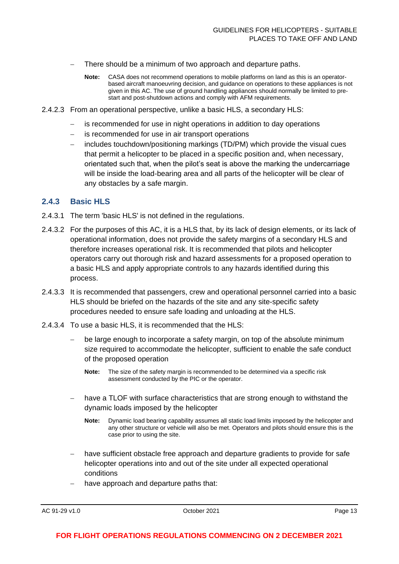- There should be a minimum of two approach and departure paths.
	- **Note:** CASA does not recommend operations to mobile platforms on land as this is an operatorbased aircraft manoeuvring decision, and guidance on operations to these appliances is not given in this AC. The use of ground handling appliances should normally be limited to prestart and post-shutdown actions and comply with AFM requirements.
- 2.4.2.3 From an operational perspective, unlike a basic HLS, a secondary HLS:
	- is recommended for use in night operations in addition to day operations
	- is recommended for use in air transport operations
	- − includes touchdown/positioning markings (TD/PM) which provide the visual cues that permit a helicopter to be placed in a specific position and, when necessary, orientated such that, when the pilot's seat is above the marking the undercarriage will be inside the load-bearing area and all parts of the helicopter will be clear of any obstacles by a safe margin.

#### **2.4.3 Basic HLS**

- 2.4.3.1 The term 'basic HLS' is not defined in the regulations.
- 2.4.3.2 For the purposes of this AC, it is a HLS that, by its lack of design elements, or its lack of operational information, does not provide the safety margins of a secondary HLS and therefore increases operational risk. It is recommended that pilots and helicopter operators carry out thorough risk and hazard assessments for a proposed operation to a basic HLS and apply appropriate controls to any hazards identified during this process.
- 2.4.3.3 It is recommended that passengers, crew and operational personnel carried into a basic HLS should be briefed on the hazards of the site and any site-specific safety procedures needed to ensure safe loading and unloading at the HLS.
- 2.4.3.4 To use a basic HLS, it is recommended that the HLS:
	- be large enough to incorporate a safety margin, on top of the absolute minimum size required to accommodate the helicopter, sufficient to enable the safe conduct of the proposed operation
		- **Note:** The size of the safety margin is recommended to be determined via a specific risk assessment conducted by the PIC or the operator.
	- have a TLOF with surface characteristics that are strong enough to withstand the dynamic loads imposed by the helicopter
		- **Note:** Dynamic load bearing capability assumes all static load limits imposed by the helicopter and any other structure or vehicle will also be met. Operators and pilots should ensure this is the case prior to using the site.
	- have sufficient obstacle free approach and departure gradients to provide for safe helicopter operations into and out of the site under all expected operational conditions
	- have approach and departure paths that:

AC 91-29 v1.0 **Details a COMPUTE 2021 Page 13 Page 13**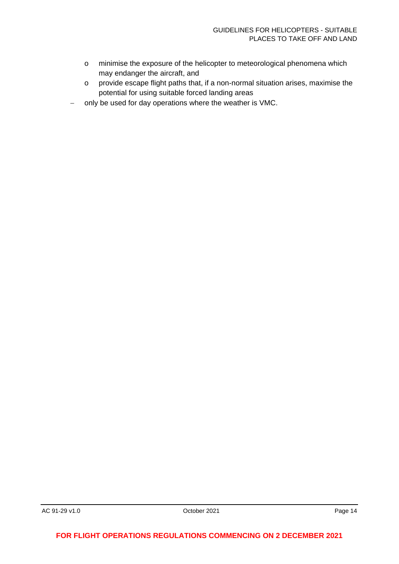- o minimise the exposure of the helicopter to meteorological phenomena which may endanger the aircraft, and
- o provide escape flight paths that, if a non-normal situation arises, maximise the potential for using suitable forced landing areas
- − only be used for day operations where the weather is VMC.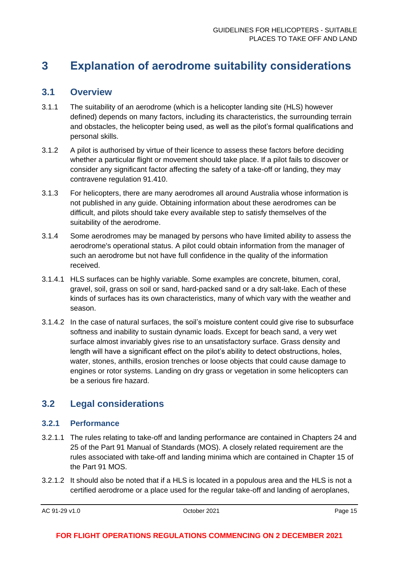# <span id="page-15-0"></span>**3 Explanation of aerodrome suitability considerations**

### <span id="page-15-1"></span>**3.1 Overview**

- 3.1.1 The suitability of an aerodrome (which is a helicopter landing site (HLS) however defined) depends on many factors, including its characteristics, the surrounding terrain and obstacles, the helicopter being used, as well as the pilot's formal qualifications and personal skills.
- 3.1.2 A pilot is authorised by virtue of their licence to assess these factors before deciding whether a particular flight or movement should take place. If a pilot fails to discover or consider any significant factor affecting the safety of a take-off or landing, they may contravene regulation 91.410.
- 3.1.3 For helicopters, there are many aerodromes all around Australia whose information is not published in any guide. Obtaining information about these aerodromes can be difficult, and pilots should take every available step to satisfy themselves of the suitability of the aerodrome.
- 3.1.4 Some aerodromes may be managed by persons who have limited ability to assess the aerodrome's operational status. A pilot could obtain information from the manager of such an aerodrome but not have full confidence in the quality of the information received.
- 3.1.4.1 HLS surfaces can be highly variable. Some examples are concrete, bitumen, coral, gravel, soil, grass on soil or sand, hard-packed sand or a dry salt-lake. Each of these kinds of surfaces has its own characteristics, many of which vary with the weather and season.
- 3.1.4.2 In the case of natural surfaces, the soil's moisture content could give rise to subsurface softness and inability to sustain dynamic loads. Except for beach sand, a very wet surface almost invariably gives rise to an unsatisfactory surface. Grass density and length will have a significant effect on the pilot's ability to detect obstructions, holes, water, stones, anthills, erosion trenches or loose objects that could cause damage to engines or rotor systems. Landing on dry grass or vegetation in some helicopters can be a serious fire hazard.

# <span id="page-15-2"></span>**3.2 Legal considerations**

#### **3.2.1 Performance**

- 3.2.1.1 The rules relating to take-off and landing performance are contained in Chapters 24 and 25 of the Part 91 Manual of Standards (MOS). A closely related requirement are the rules associated with take-off and landing minima which are contained in Chapter 15 of the Part 91 MOS.
- 3.2.1.2 It should also be noted that if a HLS is located in a populous area and the HLS is not a certified aerodrome or a place used for the regular take-off and landing of aeroplanes,

AC 91-29 v1.0 **Details a Contract Contract Contract Contract Contract Contract Contract Contract Contract Contract Contract Contract Page 15**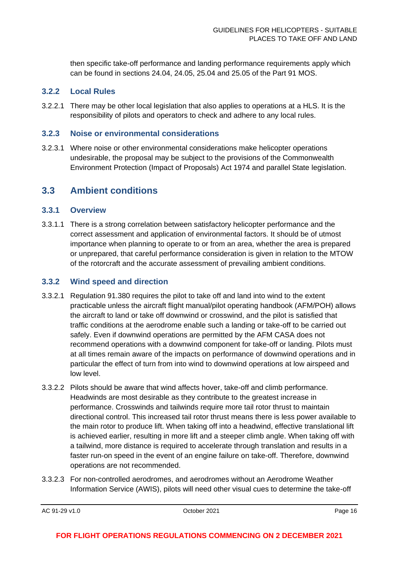then specific take-off performance and landing performance requirements apply which can be found in sections 24.04, 24.05, 25.04 and 25.05 of the Part 91 MOS.

#### **3.2.2 Local Rules**

3.2.2.1 There may be other local legislation that also applies to operations at a HLS. It is the responsibility of pilots and operators to check and adhere to any local rules.

#### **3.2.3 Noise or environmental considerations**

3.2.3.1 Where noise or other environmental considerations make helicopter operations undesirable, the proposal may be subject to the provisions of the Commonwealth Environment Protection (Impact of Proposals) Act 1974 and parallel State legislation.

### <span id="page-16-0"></span>**3.3 Ambient conditions**

#### **3.3.1 Overview**

3.3.1.1 There is a strong correlation between satisfactory helicopter performance and the correct assessment and application of environmental factors. It should be of utmost importance when planning to operate to or from an area, whether the area is prepared or unprepared, that careful performance consideration is given in relation to the MTOW of the rotorcraft and the accurate assessment of prevailing ambient conditions.

#### **3.3.2 Wind speed and direction**

- 3.3.2.1 Regulation 91.380 requires the pilot to take off and land into wind to the extent practicable unless the aircraft flight manual/pilot operating handbook (AFM/POH) allows the aircraft to land or take off downwind or crosswind, and the pilot is satisfied that traffic conditions at the aerodrome enable such a landing or take-off to be carried out safely. Even if downwind operations are permitted by the AFM CASA does not recommend operations with a downwind component for take-off or landing. Pilots must at all times remain aware of the impacts on performance of downwind operations and in particular the effect of turn from into wind to downwind operations at low airspeed and low level.
- 3.3.2.2 Pilots should be aware that wind affects hover, take-off and climb performance. Headwinds are most desirable as they contribute to the greatest increase in performance. Crosswinds and tailwinds require more tail rotor thrust to maintain directional control. This increased tail rotor thrust means there is less power available to the main rotor to produce lift. When taking off into a headwind, effective translational lift is achieved earlier, resulting in more lift and a steeper climb angle. When taking off with a tailwind, more distance is required to accelerate through translation and results in a faster run-on speed in the event of an engine failure on take-off. Therefore, downwind operations are not recommended.
- 3.3.2.3 For non-controlled aerodromes, and aerodromes without an Aerodrome Weather Information Service (AWIS), pilots will need other visual cues to determine the take-off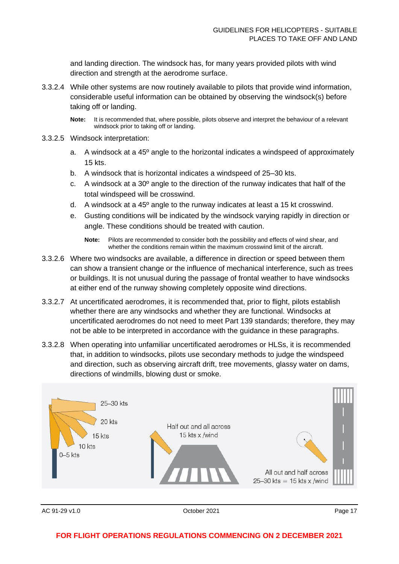and landing direction. The windsock has, for many years provided pilots with wind direction and strength at the aerodrome surface.

- 3.3.2.4 While other systems are now routinely available to pilots that provide wind information, considerable useful information can be obtained by observing the windsock(s) before taking off or landing.
	- **Note:** It is recommended that, where possible, pilots observe and interpret the behaviour of a relevant windsock prior to taking off or landing.
- 3.3.2.5 Windsock interpretation:
	- a. A windsock at a 45º angle to the horizontal indicates a windspeed of approximately 15 kts.
	- b. A windsock that is horizontal indicates a windspeed of 25–30 kts.
	- c. A windsock at a 30º angle to the direction of the runway indicates that half of the total windspeed will be crosswind.
	- d. A windsock at a 45º angle to the runway indicates at least a 15 kt crosswind.
	- e. Gusting conditions will be indicated by the windsock varying rapidly in direction or angle. These conditions should be treated with caution.
		- **Note:** Pilots are recommended to consider both the possibility and effects of wind shear, and whether the conditions remain within the maximum crosswind limit of the aircraft.
- 3.3.2.6 Where two windsocks are available, a difference in direction or speed between them can show a transient change or the influence of mechanical interference, such as trees or buildings. It is not unusual during the passage of frontal weather to have windsocks at either end of the runway showing completely opposite wind directions.
- 3.3.2.7 At uncertificated aerodromes, it is recommended that, prior to flight, pilots establish whether there are any windsocks and whether they are functional. Windsocks at uncertificated aerodromes do not need to meet Part 139 standards; therefore, they may not be able to be interpreted in accordance with the guidance in these paragraphs.
- 3.3.2.8 When operating into unfamiliar uncertificated aerodromes or HLSs, it is recommended that, in addition to windsocks, pilots use secondary methods to judge the windspeed and direction, such as observing aircraft drift, tree movements, glassy water on dams, directions of windmills, blowing dust or smoke.



AC 91-29 v1.0 **Details a Contract Contract Contract Contract Contract Contract Contract Contract Contract Contract Contract Contract Page 17**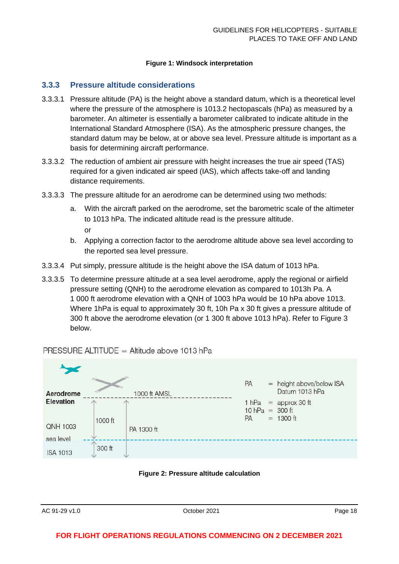#### **Figure 1: Windsock interpretation**

#### **3.3.3 Pressure altitude considerations**

- 3.3.3.1 Pressure altitude (PA) is the height above a standard datum, which is a theoretical level where the pressure of the atmosphere is 1013.2 hectopascals (hPa) as measured by a barometer. An altimeter is essentially a barometer calibrated to indicate altitude in the International Standard Atmosphere (ISA). As the atmospheric pressure changes, the standard datum may be below, at or above sea level. Pressure altitude is important as a basis for determining aircraft performance.
- 3.3.3.2 The reduction of ambient air pressure with height increases the true air speed (TAS) required for a given indicated air speed (IAS), which affects take-off and landing distance requirements.
- 3.3.3.3 The pressure altitude for an aerodrome can be determined using two methods:
	- a. With the aircraft parked on the aerodrome, set the barometric scale of the altimeter to 1013 hPa. The indicated altitude read is the pressure altitude. or
	- b. Applying a correction factor to the aerodrome altitude above sea level according to the reported sea level pressure.
- 3.3.3.4 Put simply, pressure altitude is the height above the ISA datum of 1013 hPa.
- 3.3.3.5 To determine pressure altitude at a sea level aerodrome, apply the regional or airfield pressure setting (QNH) to the aerodrome elevation as compared to 1013h Pa. A 1 000 ft aerodrome elevation with a QNH of 1003 hPa would be 10 hPa above 1013. Where 1hPa is equal to approximately 30 ft, 10h Pa x 30 ft gives a pressure altitude of 300 ft above the aerodrome elevation (or 1 300 ft above 1013 hPa). Refer to Figure 3 below.

#### PRESSURE ALTITUDE = Altitude above 1013 hPa



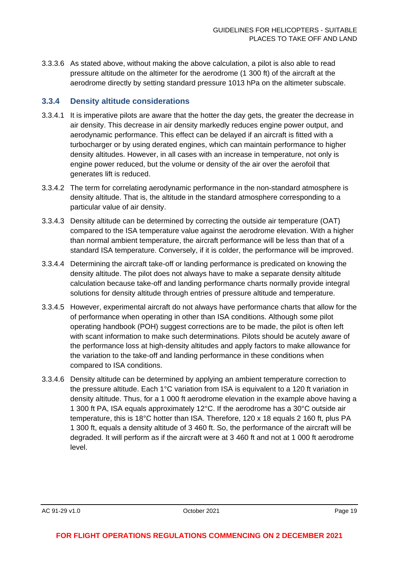3.3.3.6 As stated above, without making the above calculation, a pilot is also able to read pressure altitude on the altimeter for the aerodrome (1 300 ft) of the aircraft at the aerodrome directly by setting standard pressure 1013 hPa on the altimeter subscale.

#### **3.3.4 Density altitude considerations**

- 3.3.4.1 It is imperative pilots are aware that the hotter the day gets, the greater the decrease in air density. This decrease in air density markedly reduces engine power output, and aerodynamic performance. This effect can be delayed if an aircraft is fitted with a turbocharger or by using derated engines, which can maintain performance to higher density altitudes. However, in all cases with an increase in temperature, not only is engine power reduced, but the volume or density of the air over the aerofoil that generates lift is reduced.
- 3.3.4.2 The term for correlating aerodynamic performance in the non-standard atmosphere is density altitude. That is, the altitude in the standard atmosphere corresponding to a particular value of air density.
- 3.3.4.3 Density altitude can be determined by correcting the outside air temperature (OAT) compared to the ISA temperature value against the aerodrome elevation. With a higher than normal ambient temperature, the aircraft performance will be less than that of a standard ISA temperature. Conversely, if it is colder, the performance will be improved.
- 3.3.4.4 Determining the aircraft take-off or landing performance is predicated on knowing the density altitude. The pilot does not always have to make a separate density altitude calculation because take-off and landing performance charts normally provide integral solutions for density altitude through entries of pressure altitude and temperature.
- 3.3.4.5 However, experimental aircraft do not always have performance charts that allow for the of performance when operating in other than ISA conditions. Although some pilot operating handbook (POH) suggest corrections are to be made, the pilot is often left with scant information to make such determinations. Pilots should be acutely aware of the performance loss at high-density altitudes and apply factors to make allowance for the variation to the take-off and landing performance in these conditions when compared to ISA conditions.
- 3.3.4.6 Density altitude can be determined by applying an ambient temperature correction to the pressure altitude. Each 1°C variation from ISA is equivalent to a 120 ft variation in density altitude. Thus, for a 1 000 ft aerodrome elevation in the example above having a 1 300 ft PA, ISA equals approximately 12°C. If the aerodrome has a 30°C outside air temperature, this is 18°C hotter than ISA. Therefore, 120 x 18 equals 2 160 ft, plus PA 1 300 ft, equals a density altitude of 3 460 ft. So, the performance of the aircraft will be degraded. It will perform as if the aircraft were at 3 460 ft and not at 1 000 ft aerodrome level.

AC 91-29 v1.0 **Details a COMPUTE 10 AC 91-29 v1.0 Page 19 October 2021 Page 19**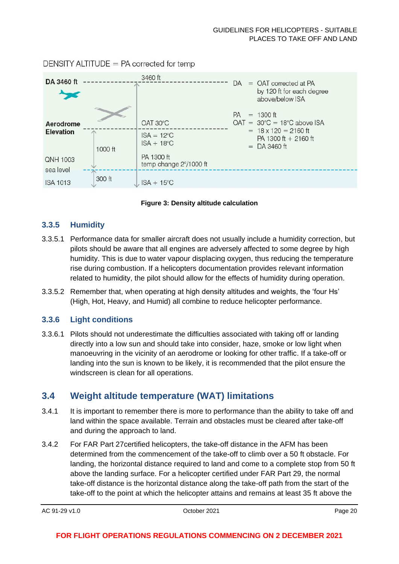DENSITY ALTITUDE  $=$  PA corrected for temp



**Figure 3: Density altitude calculation**

#### **3.3.5 Humidity**

- 3.3.5.1 Performance data for smaller aircraft does not usually include a humidity correction, but pilots should be aware that all engines are adversely affected to some degree by high humidity. This is due to water vapour displacing oxygen, thus reducing the temperature rise during combustion. If a helicopters documentation provides relevant information related to humidity, the pilot should allow for the effects of humidity during operation.
- 3.3.5.2 Remember that, when operating at high density altitudes and weights, the 'four Hs' (High, Hot, Heavy, and Humid) all combine to reduce helicopter performance.

#### **3.3.6 Light conditions**

3.3.6.1 Pilots should not underestimate the difficulties associated with taking off or landing directly into a low sun and should take into consider, haze, smoke or low light when manoeuvring in the vicinity of an aerodrome or looking for other traffic. If a take-off or landing into the sun is known to be likely, it is recommended that the pilot ensure the windscreen is clean for all operations.

# <span id="page-20-0"></span>**3.4 Weight altitude temperature (WAT) limitations**

- 3.4.1 It is important to remember there is more to performance than the ability to take off and land within the space available. Terrain and obstacles must be cleared after take-off and during the approach to land.
- 3.4.2 For FAR Part 27certified helicopters, the take-off distance in the AFM has been determined from the commencement of the take-off to climb over a 50 ft obstacle. For landing, the horizontal distance required to land and come to a complete stop from 50 ft above the landing surface. For a helicopter certified under FAR Part 29, the normal take-off distance is the horizontal distance along the take-off path from the start of the take-off to the point at which the helicopter attains and remains at least 35 ft above the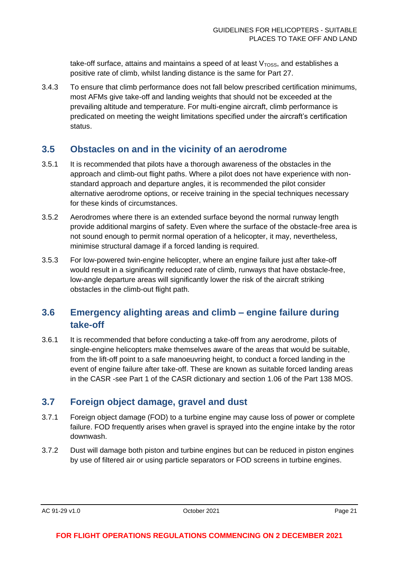take-off surface, attains and maintains a speed of at least  $V<sub>TOSS</sub>$ , and establishes a positive rate of climb, whilst landing distance is the same for Part 27.

3.4.3 To ensure that climb performance does not fall below prescribed certification minimums, most AFMs give take-off and landing weights that should not be exceeded at the prevailing altitude and temperature. For multi-engine aircraft, climb performance is predicated on meeting the weight limitations specified under the aircraft's certification status.

### <span id="page-21-0"></span>**3.5 Obstacles on and in the vicinity of an aerodrome**

- 3.5.1 It is recommended that pilots have a thorough awareness of the obstacles in the approach and climb-out flight paths. Where a pilot does not have experience with nonstandard approach and departure angles, it is recommended the pilot consider alternative aerodrome options, or receive training in the special techniques necessary for these kinds of circumstances.
- 3.5.2 Aerodromes where there is an extended surface beyond the normal runway length provide additional margins of safety. Even where the surface of the obstacle-free area is not sound enough to permit normal operation of a helicopter, it may, nevertheless, minimise structural damage if a forced landing is required.
- 3.5.3 For low-powered twin-engine helicopter, where an engine failure just after take-off would result in a significantly reduced rate of climb, runways that have obstacle-free, low-angle departure areas will significantly lower the risk of the aircraft striking obstacles in the climb-out flight path.

# <span id="page-21-1"></span>**3.6 Emergency alighting areas and climb – engine failure during take-off**

3.6.1 It is recommended that before conducting a take-off from any aerodrome, pilots of single-engine helicopters make themselves aware of the areas that would be suitable, from the lift-off point to a safe manoeuvring height, to conduct a forced landing in the event of engine failure after take-off. These are known as suitable forced landing areas in the CASR -see Part 1 of the CASR dictionary and section 1.06 of the Part 138 MOS.

# <span id="page-21-2"></span>**3.7 Foreign object damage, gravel and dust**

- 3.7.1 Foreign object damage (FOD) to a turbine engine may cause loss of power or complete failure. FOD frequently arises when gravel is sprayed into the engine intake by the rotor downwash.
- 3.7.2 Dust will damage both piston and turbine engines but can be reduced in piston engines by use of filtered air or using particle separators or FOD screens in turbine engines.

AC 91-29 v1.0 **Details a COMPUTE 2021 Page 21 Page 21**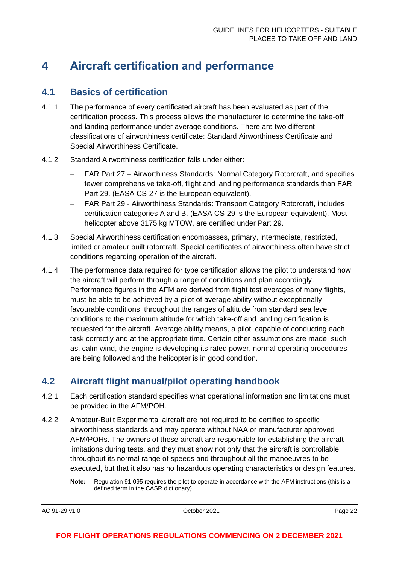# <span id="page-22-0"></span>**4 Aircraft certification and performance**

### <span id="page-22-1"></span>**4.1 Basics of certification**

- 4.1.1 The performance of every certificated aircraft has been evaluated as part of the certification process. This process allows the manufacturer to determine the take-off and landing performance under average conditions. There are two different classifications of airworthiness certificate: Standard Airworthiness Certificate and Special Airworthiness Certificate.
- 4.1.2 Standard Airworthiness certification falls under either:
	- − FAR Part 27 Airworthiness Standards: Normal Category Rotorcraft, and specifies fewer comprehensive take-off, flight and landing performance standards than FAR Part 29. (EASA CS-27 is the European equivalent).
	- − FAR Part 29 Airworthiness Standards: Transport Category Rotorcraft, includes certification categories A and B. (EASA CS-29 is the European equivalent). Most helicopter above 3175 kg MTOW, are certified under Part 29.
- 4.1.3 Special Airworthiness certification encompasses, primary, intermediate, restricted, limited or amateur built rotorcraft. Special certificates of airworthiness often have strict conditions regarding operation of the aircraft.
- 4.1.4 The performance data required for type certification allows the pilot to understand how the aircraft will perform through a range of conditions and plan accordingly. Performance figures in the AFM are derived from flight test averages of many flights, must be able to be achieved by a pilot of average ability without exceptionally favourable conditions, throughout the ranges of altitude from standard sea level conditions to the maximum altitude for which take-off and landing certification is requested for the aircraft. Average ability means, a pilot, capable of conducting each task correctly and at the appropriate time. Certain other assumptions are made, such as, calm wind, the engine is developing its rated power, normal operating procedures are being followed and the helicopter is in good condition.

# <span id="page-22-2"></span>**4.2 Aircraft flight manual/pilot operating handbook**

- 4.2.1 Each certification standard specifies what operational information and limitations must be provided in the AFM/POH.
- 4.2.2 Amateur-Built Experimental aircraft are not required to be certified to specific airworthiness standards and may operate without NAA or manufacturer approved AFM/POHs. The owners of these aircraft are responsible for establishing the aircraft limitations during tests, and they must show not only that the aircraft is controllable throughout its normal range of speeds and throughout all the manoeuvres to be executed, but that it also has no hazardous operating characteristics or design features.
	- **Note:** Regulation 91.095 requires the pilot to operate in accordance with the AFM instructions (this is a defined term in the CASR dictionary).

AC 91-29 v1.0 **Details a COMPUTE 2021 Page 22 Page 22 Page 22 Page 22 Page 22**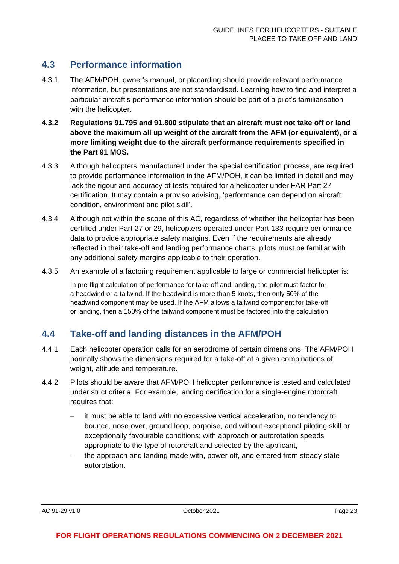# <span id="page-23-0"></span>**4.3 Performance information**

- 4.3.1 The AFM/POH, owner's manual, or placarding should provide relevant performance information, but presentations are not standardised. Learning how to find and interpret a particular aircraft's performance information should be part of a pilot's familiarisation with the helicopter.
- **4.3.2 Regulations 91.795 and 91.800 stipulate that an aircraft must not take off or land above the maximum all up weight of the aircraft from the AFM (or equivalent), or a more limiting weight due to the aircraft performance requirements specified in the Part 91 MOS.**
- 4.3.3 Although helicopters manufactured under the special certification process, are required to provide performance information in the AFM/POH, it can be limited in detail and may lack the rigour and accuracy of tests required for a helicopter under FAR Part 27 certification. It may contain a proviso advising, 'performance can depend on aircraft condition, environment and pilot skill'.
- 4.3.4 Although not within the scope of this AC, regardless of whether the helicopter has been certified under Part 27 or 29, helicopters operated under Part 133 require performance data to provide appropriate safety margins. Even if the requirements are already reflected in their take-off and landing performance charts, pilots must be familiar with any additional safety margins applicable to their operation.
- 4.3.5 An example of a factoring requirement applicable to large or commercial helicopter is:

In pre-flight calculation of performance for take-off and landing, the pilot must factor for a headwind or a tailwind. If the headwind is more than 5 knots, then only 50% of the headwind component may be used. If the AFM allows a tailwind component for take-off or landing, then a 150% of the tailwind component must be factored into the calculation

# <span id="page-23-1"></span>**4.4 Take-off and landing distances in the AFM/POH**

- 4.4.1 Each helicopter operation calls for an aerodrome of certain dimensions. The AFM/POH normally shows the dimensions required for a take-off at a given combinations of weight, altitude and temperature.
- 4.4.2 Pilots should be aware that AFM/POH helicopter performance is tested and calculated under strict criteria. For example, landing certification for a single-engine rotorcraft requires that:
	- − it must be able to land with no excessive vertical acceleration, no tendency to bounce, nose over, ground loop, porpoise, and without exceptional piloting skill or exceptionally favourable conditions; with approach or autorotation speeds appropriate to the type of rotorcraft and selected by the applicant,
	- the approach and landing made with, power off, and entered from steady state autorotation.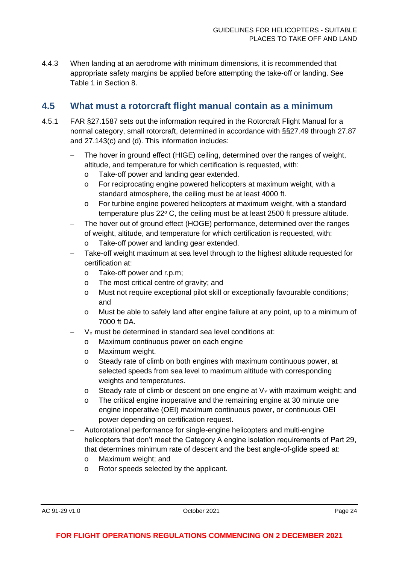4.4.3 When landing at an aerodrome with minimum dimensions, it is recommended that appropriate safety margins be applied before attempting the take-off or landing. See Table 1 in Section 8.

# <span id="page-24-0"></span>**4.5 What must a rotorcraft flight manual contain as a minimum**

- 4.5.1 FAR §27.1587 sets out the information required in the Rotorcraft Flight Manual for a normal category, small rotorcraft, determined in accordance with §§27.49 through 27.87 and 27.143(c) and (d). This information includes:
	- The hover in ground effect (HIGE) ceiling, determined over the ranges of weight, altitude, and temperature for which certification is requested, with:
		- o Take-off power and landing gear extended.
		- o For reciprocating engine powered helicopters at maximum weight, with a standard atmosphere, the ceiling must be at least 4000 ft.
		- o For turbine engine powered helicopters at maximum weight, with a standard temperature plus  $22^{\circ}$  C, the ceiling must be at least  $2500$  ft pressure altitude.
	- The hover out of ground effect (HOGE) performance, determined over the ranges of weight, altitude, and temperature for which certification is requested, with:
		- o Take-off power and landing gear extended.
	- Take-off weight maximum at sea level through to the highest altitude requested for certification at:
		- o Take-off power and r.p.m;
		- o The most critical centre of gravity; and
		- o Must not require exceptional pilot skill or exceptionally favourable conditions; and
		- o Must be able to safely land after engine failure at any point, up to a minimum of 7000 ft DA.
	- V<sub>Y</sub> must be determined in standard sea level conditions at:
		- o Maximum continuous power on each engine
		- o Maximum weight.
		- o Steady rate of climb on both engines with maximum continuous power, at selected speeds from sea level to maximum altitude with corresponding weights and temperatures.
		- o Steady rate of climb or descent on one engine at  $V<sub>Y</sub>$  with maximum weight; and
		- o The critical engine inoperative and the remaining engine at 30 minute one engine inoperative (OEI) maximum continuous power, or continuous OEI power depending on certification request.
	- − Autorotational performance for single-engine helicopters and multi-engine helicopters that don't meet the Category A engine isolation requirements of Part 29, that determines minimum rate of descent and the best angle-of-glide speed at:
		- o Maximum weight; and
		- o Rotor speeds selected by the applicant.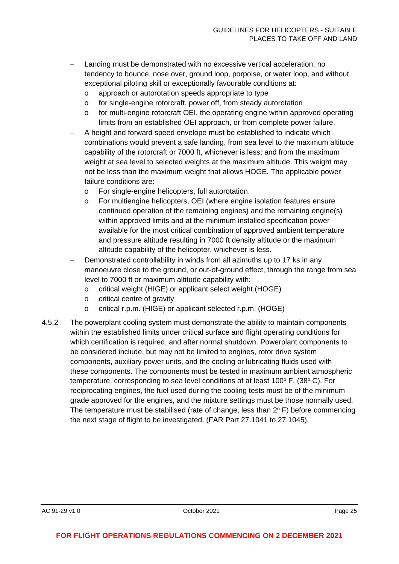- Landing must be demonstrated with no excessive vertical acceleration, no tendency to bounce, nose over, ground loop, porpoise, or water loop, and without exceptional piloting skill or exceptionally favourable conditions at:
	- o approach or autorotation speeds appropriate to type
	- o for single-engine rotorcraft, power off, from steady autorotation
	- o for multi-engine rotorcraft OEI, the operating engine within approved operating limits from an established OEI approach, or from complete power failure.
- A height and forward speed envelope must be established to indicate which combinations would prevent a safe landing, from sea level to the maximum altitude capability of the rotorcraft or 7000 ft, whichever is less; and from the maximum weight at sea level to selected weights at the maximum altitude. This weight may not be less than the maximum weight that allows HOGE. The applicable power failure conditions are:
	- o For single-engine helicopters, full autorotation.
	- o For multiengine helicopters, OEI (where engine isolation features ensure continued operation of the remaining engines) and the remaining engine(s) within approved limits and at the minimum installed specification power available for the most critical combination of approved ambient temperature and pressure altitude resulting in 7000 ft density altitude or the maximum altitude capability of the helicopter, whichever is less.
- Demonstrated controllability in winds from all azimuths up to 17 ks in any manoeuvre close to the ground, or out-of-ground effect, through the range from sea level to 7000 ft or maximum altitude capability with:
	- o critical weight (HIGE) or applicant select weight (HOGE)
	- o critical centre of gravity
	- o critical r.p.m. (HIGE) or applicant selected r.p.m. (HOGE)
- 4.5.2 The powerplant cooling system must demonstrate the ability to maintain components within the established limits under critical surface and flight operating conditions for which certification is required, and after normal shutdown. Powerplant components to be considered include, but may not be limited to engines, rotor drive system components, auxiliary power units, and the cooling or lubricating fluids used with these components. The components must be tested in maximum ambient atmospheric temperature, corresponding to sea level conditions of at least 100 $\degree$  F, (38 $\degree$  C). For reciprocating engines, the fuel used during the cooling tests must be of the minimum grade approved for the engines, and the mixture settings must be those normally used. The temperature must be stabilised (rate of change, less than  $2^{\circ}$  F) before commencing the next stage of flight to be investigated. (FAR Part 27.1041 to 27.1045).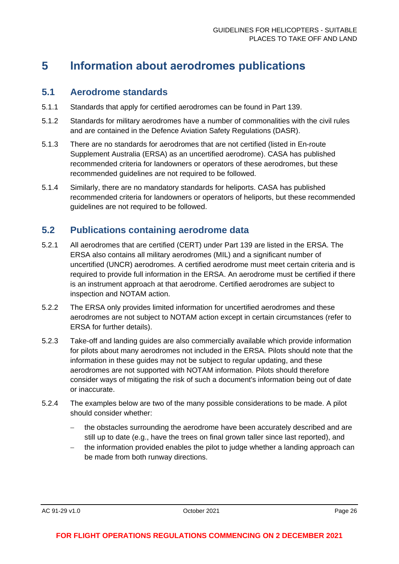# <span id="page-26-0"></span>**5 Information about aerodromes publications**

### <span id="page-26-1"></span>**5.1 Aerodrome standards**

- 5.1.1 Standards that apply for certified aerodromes can be found in Part 139.
- 5.1.2 Standards for military aerodromes have a number of commonalities with the civil rules and are contained in the Defence Aviation Safety Regulations (DASR).
- 5.1.3 There are no standards for aerodromes that are not certified (listed in En-route Supplement Australia (ERSA) as an uncertified aerodrome). CASA has published recommended criteria for landowners or operators of these aerodromes, but these recommended guidelines are not required to be followed.
- 5.1.4 Similarly, there are no mandatory standards for heliports. CASA has published recommended criteria for landowners or operators of heliports, but these recommended guidelines are not required to be followed.

# <span id="page-26-2"></span>**5.2 Publications containing aerodrome data**

- 5.2.1 All aerodromes that are certified (CERT) under Part 139 are listed in the ERSA. The ERSA also contains all military aerodromes (MIL) and a significant number of uncertified (UNCR) aerodromes. A certified aerodrome must meet certain criteria and is required to provide full information in the ERSA. An aerodrome must be certified if there is an instrument approach at that aerodrome. Certified aerodromes are subject to inspection and NOTAM action.
- 5.2.2 The ERSA only provides limited information for uncertified aerodromes and these aerodromes are not subject to NOTAM action except in certain circumstances (refer to ERSA for further details).
- 5.2.3 Take-off and landing guides are also commercially available which provide information for pilots about many aerodromes not included in the ERSA. Pilots should note that the information in these guides may not be subject to regular updating, and these aerodromes are not supported with NOTAM information. Pilots should therefore consider ways of mitigating the risk of such a document's information being out of date or inaccurate.
- 5.2.4 The examples below are two of the many possible considerations to be made. A pilot should consider whether:
	- the obstacles surrounding the aerodrome have been accurately described and are still up to date (e.g., have the trees on final grown taller since last reported), and
	- the information provided enables the pilot to judge whether a landing approach can be made from both runway directions.

AC 91-29 v1.0 **Details a COMPUTE 2021 Page 26 Page 26 Page 26**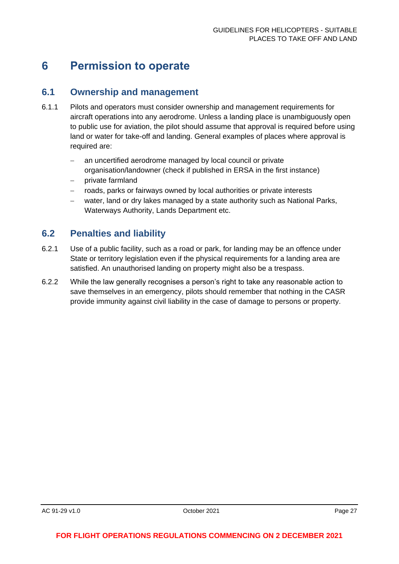# <span id="page-27-0"></span>**6 Permission to operate**

### <span id="page-27-1"></span>**6.1 Ownership and management**

- 6.1.1 Pilots and operators must consider ownership and management requirements for aircraft operations into any aerodrome. Unless a landing place is unambiguously open to public use for aviation, the pilot should assume that approval is required before using land or water for take-off and landing. General examples of places where approval is required are:
	- an uncertified aerodrome managed by local council or private organisation/landowner (check if published in ERSA in the first instance)
	- − private farmland
	- roads, parks or fairways owned by local authorities or private interests
	- water, land or dry lakes managed by a state authority such as National Parks, Waterways Authority, Lands Department etc.

### <span id="page-27-2"></span>**6.2 Penalties and liability**

- 6.2.1 Use of a public facility, such as a road or park, for landing may be an offence under State or territory legislation even if the physical requirements for a landing area are satisfied. An unauthorised landing on property might also be a trespass.
- 6.2.2 While the law generally recognises a person's right to take any reasonable action to save themselves in an emergency, pilots should remember that nothing in the CASR provide immunity against civil liability in the case of damage to persons or property.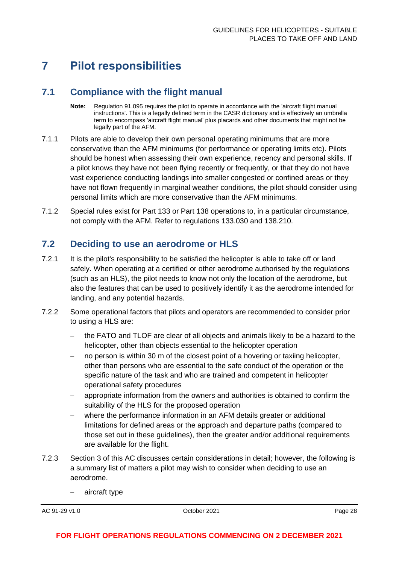# <span id="page-28-0"></span>**7 Pilot responsibilities**

# <span id="page-28-1"></span>**7.1 Compliance with the flight manual**

- **Note:** Regulation 91.095 requires the pilot to operate in accordance with the 'aircraft flight manual instructions'. This is a legally defined term in the CASR dictionary and is effectively an umbrella term to encompass 'aircraft flight manual' plus placards and other documents that might not be legally part of the AFM.
- 7.1.1 Pilots are able to develop their own personal operating minimums that are more conservative than the AFM minimums (for performance or operating limits etc). Pilots should be honest when assessing their own experience, recency and personal skills. If a pilot knows they have not been flying recently or frequently, or that they do not have vast experience conducting landings into smaller congested or confined areas or they have not flown frequently in marginal weather conditions, the pilot should consider using personal limits which are more conservative than the AFM minimums.
- 7.1.2 Special rules exist for Part 133 or Part 138 operations to, in a particular circumstance, not comply with the AFM. Refer to regulations 133.030 and 138.210.

# <span id="page-28-2"></span>**7.2 Deciding to use an aerodrome or HLS**

- 7.2.1 It is the pilot's responsibility to be satisfied the helicopter is able to take off or land safely. When operating at a certified or other aerodrome authorised by the regulations (such as an HLS), the pilot needs to know not only the location of the aerodrome, but also the features that can be used to positively identify it as the aerodrome intended for landing, and any potential hazards.
- 7.2.2 Some operational factors that pilots and operators are recommended to consider prior to using a HLS are:
	- − the FATO and TLOF are clear of all objects and animals likely to be a hazard to the helicopter, other than objects essential to the helicopter operation
	- − no person is within 30 m of the closest point of a hovering or taxiing helicopter, other than persons who are essential to the safe conduct of the operation or the specific nature of the task and who are trained and competent in helicopter operational safety procedures
	- − appropriate information from the owners and authorities is obtained to confirm the suitability of the HLS for the proposed operation
	- − where the performance information in an AFM details greater or additional limitations for defined areas or the approach and departure paths (compared to those set out in these guidelines), then the greater and/or additional requirements are available for the flight.
- 7.2.3 Section 3 of this AC discusses certain considerations in detail; however, the following is a summary list of matters a pilot may wish to consider when deciding to use an aerodrome.
	- − aircraft type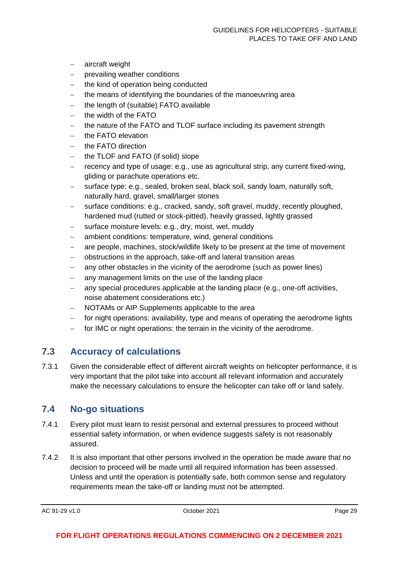- − aircraft weight
- − prevailing weather conditions
- − the kind of operation being conducted
- − the means of identifying the boundaries of the manoeuvring area
- the length of (suitable) FATO available
- − the width of the FATO
- the nature of the FATO and TLOF surface including its pavement strength
- the FATO elevation
- the FATO direction
- the TLOF and FATO (if solid) slope
- − recency and type of usage: e.g., use as agricultural strip, any current fixed-wing, gliding or parachute operations etc.
- surface type: e.g., sealed, broken seal, black soil, sandy loam, naturally soft, naturally hard, gravel, small/larger stones
- surface conditions: e.g., cracked, sandy, soft gravel, muddy, recently ploughed, hardened mud (rutted or stock-pitted), heavily grassed, lightly grassed
- − surface moisture levels: e.g., dry, moist, wet, muddy
- ambient conditions: temperature, wind, general conditions
- are people, machines, stock/wildlife likely to be present at the time of movement
- − obstructions in the approach, take-off and lateral transition areas
- − any other obstacles in the vicinity of the aerodrome (such as power lines)
- any management limits on the use of the landing place
- − any special procedures applicable at the landing place (e.g., one-off activities, noise abatement considerations etc.)
- − NOTAMs or AIP Supplements applicable to the area
- − for night operations: availability, type and means of operating the aerodrome lights
- − for IMC or night operations: the terrain in the vicinity of the aerodrome.

### <span id="page-29-0"></span>**7.3 Accuracy of calculations**

7.3.1 Given the considerable effect of different aircraft weights on helicopter performance, it is very important that the pilot take into account all relevant information and accurately make the necessary calculations to ensure the helicopter can take off or land safely.

### <span id="page-29-1"></span>**7.4 No-go situations**

- 7.4.1 Every pilot must learn to resist personal and external pressures to proceed without essential safety information, or when evidence suggests safety is not reasonably assured.
- 7.4.2 It is also important that other persons involved in the operation be made aware that no decision to proceed will be made until all required information has been assessed. Unless and until the operation is potentially safe, both common sense and regulatory requirements mean the take-off or landing must not be attempted.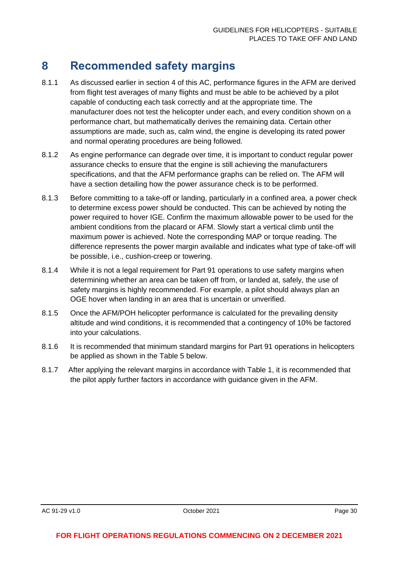# <span id="page-30-0"></span>**8 Recommended safety margins**

- 8.1.1 As discussed earlier in section 4 of this AC, performance figures in the AFM are derived from flight test averages of many flights and must be able to be achieved by a pilot capable of conducting each task correctly and at the appropriate time. The manufacturer does not test the helicopter under each, and every condition shown on a performance chart, but mathematically derives the remaining data. Certain other assumptions are made, such as, calm wind, the engine is developing its rated power and normal operating procedures are being followed.
- 8.1.2 As engine performance can degrade over time, it is important to conduct regular power assurance checks to ensure that the engine is still achieving the manufacturers specifications, and that the AFM performance graphs can be relied on. The AFM will have a section detailing how the power assurance check is to be performed.
- 8.1.3 Before committing to a take-off or landing, particularly in a confined area, a power check to determine excess power should be conducted. This can be achieved by noting the power required to hover IGE. Confirm the maximum allowable power to be used for the ambient conditions from the placard or AFM. Slowly start a vertical climb until the maximum power is achieved. Note the corresponding MAP or torque reading. The difference represents the power margin available and indicates what type of take-off will be possible, i.e., cushion-creep or towering.
- 8.1.4 While it is not a legal requirement for Part 91 operations to use safety margins when determining whether an area can be taken off from, or landed at, safely, the use of safety margins is highly recommended. For example, a pilot should always plan an OGE hover when landing in an area that is uncertain or unverified.
- 8.1.5 Once the AFM/POH helicopter performance is calculated for the prevailing density altitude and wind conditions, it is recommended that a contingency of 10% be factored into your calculations.
- 8.1.6 It is recommended that minimum standard margins for Part 91 operations in helicopters be applied as shown in the Table 5 below.
- 8.1.7 After applying the relevant margins in accordance with Table 1, it is recommended that the pilot apply further factors in accordance with guidance given in the AFM.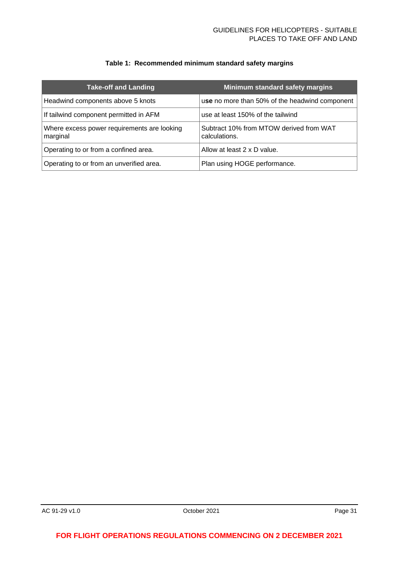#### **Table 1: Recommended minimum standard safety margins**

| <b>Take-off and Landing</b>                             | Minimum standard safety margins                          |
|---------------------------------------------------------|----------------------------------------------------------|
| Headwind components above 5 knots                       | use no more than 50% of the headwind component $ $       |
| If tailwind component permitted in AFM                  | use at least 150% of the tailwind                        |
| Where excess power requirements are looking<br>marginal | Subtract 10% from MTOW derived from WAT<br>calculations. |
| Operating to or from a confined area.                   | Allow at least 2 x D value.                              |
| Operating to or from an unverified area.                | Plan using HOGE performance.                             |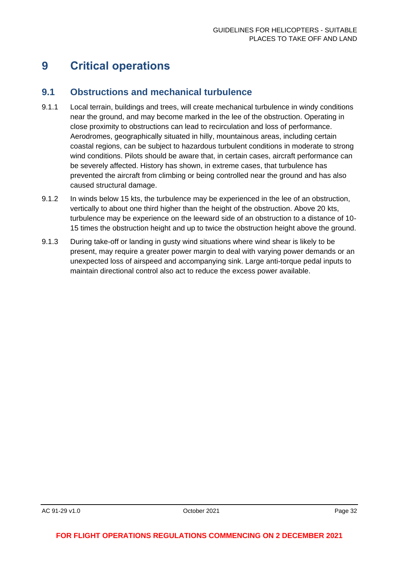# <span id="page-32-0"></span>**9 Critical operations**

### <span id="page-32-1"></span>**9.1 Obstructions and mechanical turbulence**

- 9.1.1 Local terrain, buildings and trees, will create mechanical turbulence in windy conditions near the ground, and may become marked in the lee of the obstruction. Operating in close proximity to obstructions can lead to recirculation and loss of performance. Aerodromes, geographically situated in hilly, mountainous areas, including certain coastal regions, can be subject to hazardous turbulent conditions in moderate to strong wind conditions. Pilots should be aware that, in certain cases, aircraft performance can be severely affected. History has shown, in extreme cases, that turbulence has prevented the aircraft from climbing or being controlled near the ground and has also caused structural damage.
- 9.1.2 In winds below 15 kts, the turbulence may be experienced in the lee of an obstruction, vertically to about one third higher than the height of the obstruction. Above 20 kts, turbulence may be experience on the leeward side of an obstruction to a distance of 10- 15 times the obstruction height and up to twice the obstruction height above the ground.
- 9.1.3 During take-off or landing in gusty wind situations where wind shear is likely to be present, may require a greater power margin to deal with varying power demands or an unexpected loss of airspeed and accompanying sink. Large anti-torque pedal inputs to maintain directional control also act to reduce the excess power available.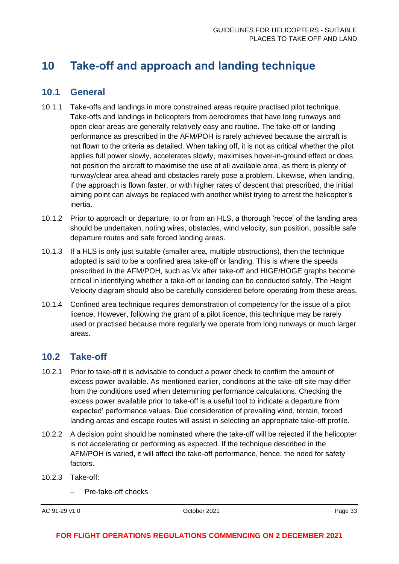# <span id="page-33-0"></span>**10 Take-off and approach and landing technique**

### <span id="page-33-1"></span>**10.1 General**

- 10.1.1 Take-offs and landings in more constrained areas require practised pilot technique. Take-offs and landings in helicopters from aerodromes that have long runways and open clear areas are generally relatively easy and routine. The take-off or landing performance as prescribed in the AFM/POH is rarely achieved because the aircraft is not flown to the criteria as detailed. When taking off, it is not as critical whether the pilot applies full power slowly, accelerates slowly, maximises hover-in-ground effect or does not position the aircraft to maximise the use of all available area, as there is plenty of runway/clear area ahead and obstacles rarely pose a problem. Likewise, when landing, if the approach is flown faster, or with higher rates of descent that prescribed, the initial aiming point can always be replaced with another whilst trying to arrest the helicopter's inertia.
- 10.1.2 Prior to approach or departure, to or from an HLS, a thorough 'recce' of the landing area should be undertaken, noting wires, obstacles, wind velocity, sun position, possible safe departure routes and safe forced landing areas.
- 10.1.3 If a HLS is only just suitable (smaller area, multiple obstructions), then the technique adopted is said to be a confined area take-off or landing. This is where the speeds prescribed in the AFM/POH, such as Vx after take-off and HIGE/HOGE graphs become critical in identifying whether a take-off or landing can be conducted safely. The Height Velocity diagram should also be carefully considered before operating from these areas.
- 10.1.4 Confined area technique requires demonstration of competency for the issue of a pilot licence. However, following the grant of a pilot licence, this technique may be rarely used or practised because more regularly we operate from long runways or much larger areas.

# <span id="page-33-2"></span>**10.2 Take-off**

- 10.2.1 Prior to take-off it is advisable to conduct a power check to confirm the amount of excess power available. As mentioned earlier, conditions at the take-off site may differ from the conditions used when determining performance calculations. Checking the excess power available prior to take-off is a useful tool to indicate a departure from 'expected' performance values. Due consideration of prevailing wind, terrain, forced landing areas and escape routes will assist in selecting an appropriate take-off profile.
- 10.2.2 A decision point should be nominated where the take-off will be rejected if the helicopter is not accelerating or performing as expected. If the technique described in the AFM/POH is varied, it will affect the take-off performance, hence, the need for safety factors.
- 10.2.3 Take-off:
	- − Pre-take-off checks

AC 91-29 v1.0 **Details a Contract Contract Contract Contract Contract Contract Contract Contract Contract Contract Contract Contract Contract Page 33**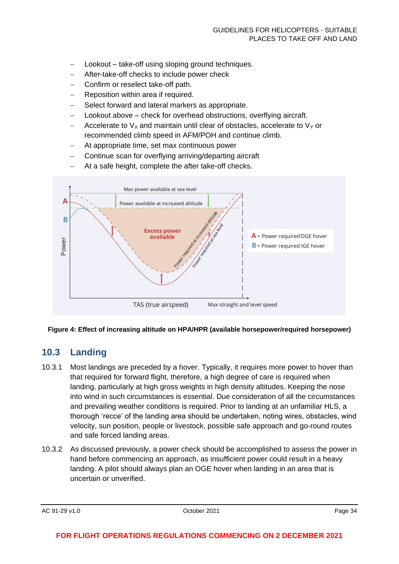- − Lookout take-off using sloping ground techniques.
- − After-take-off checks to include power check
- − Confirm or reselect take-off path.
- − Reposition within area if required.
- Select forward and lateral markers as appropriate.
- − Lookout above check for overhead obstructions, overflying aircraft.
- Accelerate to  $V_x$  and maintain until clear of obstacles, accelerate to  $V_y$  or recommended climb speed in AFM/POH and continue climb.
- At appropriate time, set max continuous power
- − Continue scan for overflying arriving/departing aircraft
- At a safe height, complete the after take-off checks.



#### **Figure 4: Effect of increasing altitude on HPA/HPR (available horsepower/required horsepower)**

### <span id="page-34-0"></span>**10.3 Landing**

- 10.3.1 Most landings are preceded by a hover. Typically, it requires more power to hover than that required for forward flight, therefore, a high degree of care is required when landing, particularly at high gross weights in high density altitudes. Keeping the nose into wind in such circumstances is essential. Due consideration of all the circumstances and prevailing weather conditions is required. Prior to landing at an unfamiliar HLS, a thorough 'recce' of the landing area should be undertaken, noting wires, obstacles, wind velocity, sun position, people or livestock, possible safe approach and go-round routes and safe forced landing areas.
- 10.3.2 As discussed previously, a power check should be accomplished to assess the power in hand before commencing an approach, as insufficient power could result in a heavy landing. A pilot should always plan an OGE hover when landing in an area that is uncertain or unverified.

AC 91-29 v1.0 **Details a COMPUTE 2021 Page 34 Page 34 Page 34**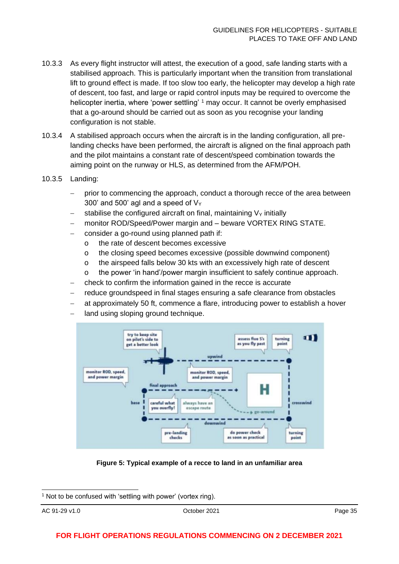- 10.3.3 As every flight instructor will attest, the execution of a good, safe landing starts with a stabilised approach. This is particularly important when the transition from translational lift to ground effect is made. If too slow too early, the helicopter may develop a high rate of descent, too fast, and large or rapid control inputs may be required to overcome the helicopter inertia, where 'power settling' <sup>1</sup> may occur. It cannot be overly emphasised that a go-around should be carried out as soon as you recognise your landing configuration is not stable.
- 10.3.4 A stabilised approach occurs when the aircraft is in the landing configuration, all prelanding checks have been performed, the aircraft is aligned on the final approach path and the pilot maintains a constant rate of descent/speed combination towards the aiming point on the runway or HLS, as determined from the AFM/POH.
- 10.3.5 Landing:
	- prior to commencing the approach, conduct a thorough recce of the area between 300' and 500' agl and a speed of  $V_Y$
	- stabilise the configured aircraft on final, maintaining  $V<sub>Y</sub>$  initially
	- − monitor ROD/Speed/Power margin and beware VORTEX RING STATE.
	- − consider a go-round using planned path if:
		- o the rate of descent becomes excessive
		- o the closing speed becomes excessive (possible downwind component)
		- o the airspeed falls below 30 kts with an excessively high rate of descent
		- o the power 'in hand'/power margin insufficient to safely continue approach.
	- − check to confirm the information gained in the recce is accurate
	- − reduce groundspeed in final stages ensuring a safe clearance from obstacles
	- at approximately 50 ft, commence a flare, introducing power to establish a hover
	- land using sloping ground technique.



**Figure 5: Typical example of a recce to land in an unfamiliar area**

 $1$  Not to be confused with 'settling with power' (vortex ring).